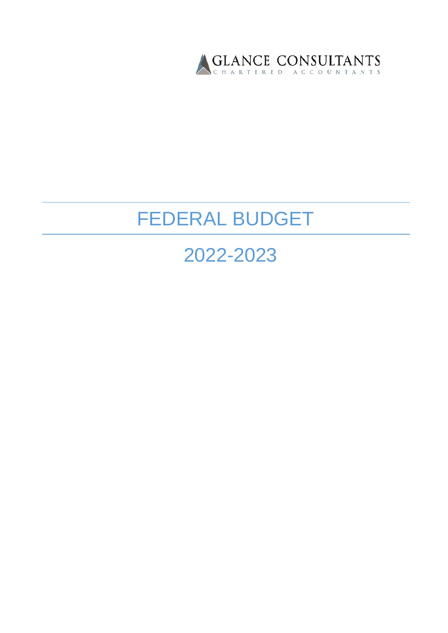

# FEDERAL BUDGET

## 2022-2023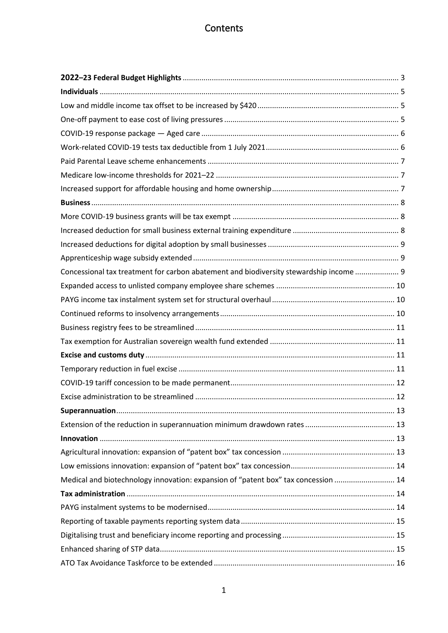## **Contents**

| Concessional tax treatment for carbon abatement and biodiversity stewardship income  9 |  |
|----------------------------------------------------------------------------------------|--|
|                                                                                        |  |
|                                                                                        |  |
|                                                                                        |  |
|                                                                                        |  |
|                                                                                        |  |
|                                                                                        |  |
|                                                                                        |  |
|                                                                                        |  |
|                                                                                        |  |
|                                                                                        |  |
|                                                                                        |  |
|                                                                                        |  |
|                                                                                        |  |
|                                                                                        |  |
| Medical and biotechnology innovation: expansion of "patent box" tax concession  14     |  |
|                                                                                        |  |
|                                                                                        |  |
|                                                                                        |  |
|                                                                                        |  |
|                                                                                        |  |
|                                                                                        |  |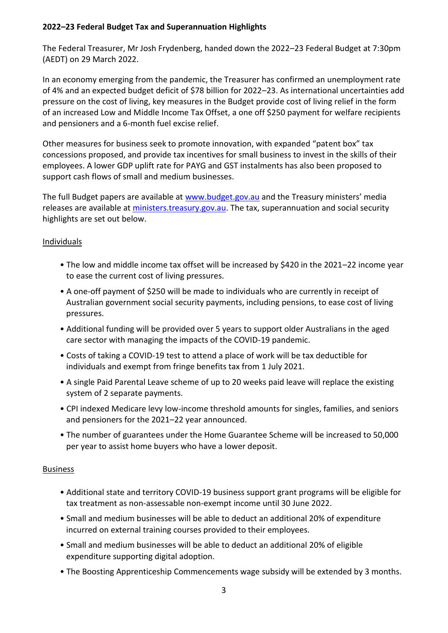## <span id="page-3-0"></span>**2022–23 Federal Budget Tax and Superannuation Highlights**

The Federal Treasurer, Mr Josh Frydenberg, handed down the 2022–23 Federal Budget at 7:30pm (AEDT) on 29 March 2022.

In an economy emerging from the pandemic, the Treasurer has confirmed an unemployment rate of 4% and an expected budget deficit of \$78 billion for 2022–23. As international uncertainties add pressure on the cost of living, key measures in the Budget provide cost of living relief in the form of an increased Low and Middle Income Tax Offset, a one off \$250 payment for welfare recipients and pensioners and a 6-month fuel excise relief.

Other measures for business seek to promote innovation, with expanded "patent box" tax concessions proposed, and provide tax incentives for small business to invest in the skills of their employees. A lower GDP uplift rate for PAYG and GST instalments has also been proposed to support cash flows of small and medium businesses.

The full Budget papers are available at [www.budget.gov.au](http://www.budget.gov.au/) and the Treasury ministers' media releases are available at [ministers.treasury.gov.au.](http://ministers.treasury.gov.au/) The tax, superannuation and social security highlights are set out below.

## **Individuals**

- The low and middle income tax offset will be increased by \$420 in the 2021–22 income year to ease the current cost of living pressures.
- A one-off payment of \$250 will be made to individuals who are currently in receipt of Australian government social security payments, including pensions, to ease cost of living pressures.
- Additional funding will be provided over 5 years to support older Australians in the aged care sector with managing the impacts of the COVID-19 pandemic.
- Costs of taking a COVID-19 test to attend a place of work will be tax deductible for individuals and exempt from fringe benefits tax from 1 July 2021.
- A single Paid Parental Leave scheme of up to 20 weeks paid leave will replace the existing system of 2 separate payments.
- CPI indexed Medicare levy low-income threshold amounts for singles, families, and seniors and pensioners for the 2021–22 year announced.
- The number of guarantees under the Home Guarantee Scheme will be increased to 50,000 per year to assist home buyers who have a lower deposit.

## Business

- Additional state and territory COVID-19 business support grant programs will be eligible for tax treatment as non-assessable non-exempt income until 30 June 2022.
- Small and medium businesses will be able to deduct an additional 20% of expenditure incurred on external training courses provided to their employees.
- Small and medium businesses will be able to deduct an additional 20% of eligible expenditure supporting digital adoption.
- The Boosting Apprenticeship Commencements wage subsidy will be extended by 3 months.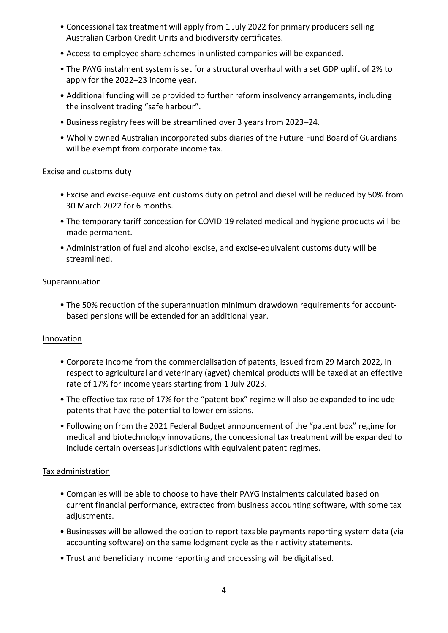- Concessional tax treatment will apply from 1 July 2022 for primary producers selling Australian Carbon Credit Units and biodiversity certificates.
- Access to employee share schemes in unlisted companies will be expanded.
- The PAYG instalment system is set for a structural overhaul with a set GDP uplift of 2% to apply for the 2022–23 income year.
- Additional funding will be provided to further reform insolvency arrangements, including the insolvent trading "safe harbour".
- Business registry fees will be streamlined over 3 years from 2023–24.
- Wholly owned Australian incorporated subsidiaries of the Future Fund Board of Guardians will be exempt from corporate income tax.

#### Excise and customs duty

- Excise and excise-equivalent customs duty on petrol and diesel will be reduced by 50% from 30 March 2022 for 6 months.
- The temporary tariff concession for COVID-19 related medical and hygiene products will be made permanent.
- Administration of fuel and alcohol excise, and excise-equivalent customs duty will be streamlined.

#### Superannuation

• The 50% reduction of the superannuation minimum drawdown requirements for accountbased pensions will be extended for an additional year.

#### Innovation

- Corporate income from the commercialisation of patents, issued from 29 March 2022, in respect to agricultural and veterinary (agvet) chemical products will be taxed at an effective rate of 17% for income years starting from 1 July 2023.
- The effective tax rate of 17% for the "patent box" regime will also be expanded to include patents that have the potential to lower emissions.
- Following on from the 2021 Federal Budget announcement of the "patent box" regime for medical and biotechnology innovations, the concessional tax treatment will be expanded to include certain overseas jurisdictions with equivalent patent regimes.

#### Tax administration

- Companies will be able to choose to have their PAYG instalments calculated based on current financial performance, extracted from business accounting software, with some tax adjustments.
- Businesses will be allowed the option to report taxable payments reporting system data (via accounting software) on the same lodgment cycle as their activity statements.
- Trust and beneficiary income reporting and processing will be digitalised.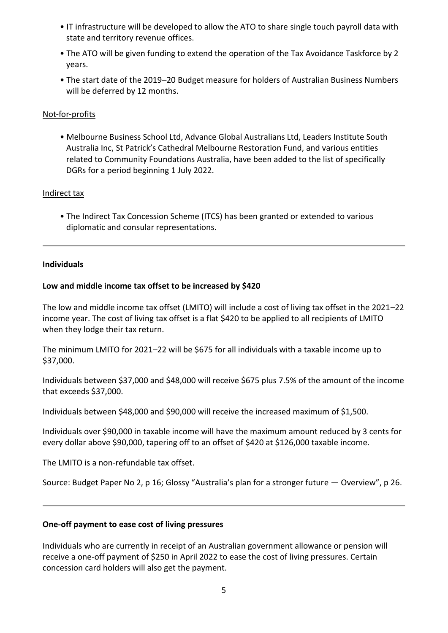- IT infrastructure will be developed to allow the ATO to share single touch payroll data with state and territory revenue offices.
- The ATO will be given funding to extend the operation of the Tax Avoidance Taskforce by 2 years.
- The start date of the 2019–20 Budget measure for holders of Australian Business Numbers will be deferred by 12 months.

## Not-for-profits

• Melbourne Business School Ltd, Advance Global Australians Ltd, Leaders Institute South Australia Inc, St Patrick's Cathedral Melbourne Restoration Fund, and various entities related to Community Foundations Australia, have been added to the list of specifically DGRs for a period beginning 1 July 2022.

### Indirect tax

• The Indirect Tax Concession Scheme (ITCS) has been granted or extended to various diplomatic and consular representations.

### <span id="page-5-0"></span>**Individuals**

### <span id="page-5-1"></span>**Low and middle income tax offset to be increased by \$420**

The low and middle income tax offset (LMITO) will include a cost of living tax offset in the 2021–22 income year. The cost of living tax offset is a flat \$420 to be applied to all recipients of LMITO when they lodge their tax return.

The minimum LMITO for 2021–22 will be \$675 for all individuals with a taxable income up to \$37,000.

Individuals between \$37,000 and \$48,000 will receive \$675 plus 7.5% of the amount of the income that exceeds \$37,000.

Individuals between \$48,000 and \$90,000 will receive the increased maximum of \$1,500.

Individuals over \$90,000 in taxable income will have the maximum amount reduced by 3 cents for every dollar above \$90,000, tapering off to an offset of \$420 at \$126,000 taxable income.

The LMITO is a non-refundable tax offset.

Source: Budget Paper No 2, p 16; Glossy "Australia's plan for a stronger future — Overview", p 26.

#### <span id="page-5-2"></span>**One-off payment to ease cost of living pressures**

Individuals who are currently in receipt of an Australian government allowance or pension will receive a one-off payment of \$250 in April 2022 to ease the cost of living pressures. Certain concession card holders will also get the payment.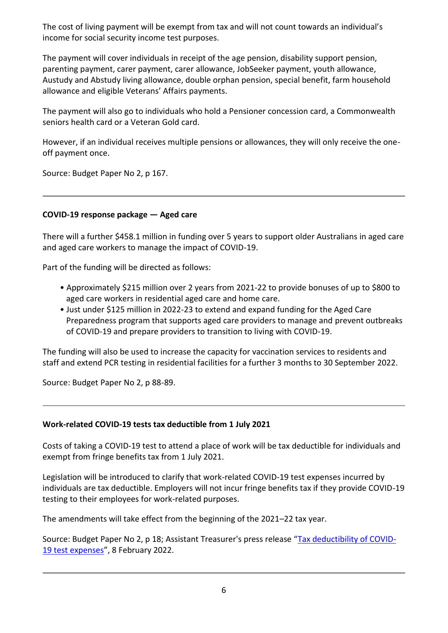The cost of living payment will be exempt from tax and will not count towards an individual's income for social security income test purposes.

The payment will cover individuals in receipt of the age pension, disability support pension, parenting payment, carer payment, carer allowance, JobSeeker payment, youth allowance, Austudy and Abstudy living allowance, double orphan pension, special benefit, farm household allowance and eligible Veterans' Affairs payments.

The payment will also go to individuals who hold a Pensioner concession card, a Commonwealth seniors health card or a Veteran Gold card.

However, if an individual receives multiple pensions or allowances, they will only receive the oneoff payment once.

Source: Budget Paper No 2, p 167.

## <span id="page-6-0"></span>**COVID-19 response package — Aged care**

There will a further \$458.1 million in funding over 5 years to support older Australians in aged care and aged care workers to manage the impact of COVID-19.

Part of the funding will be directed as follows:

- Approximately \$215 million over 2 years from 2021-22 to provide bonuses of up to \$800 to aged care workers in residential aged care and home care.
- Just under \$125 million in 2022-23 to extend and expand funding for the Aged Care Preparedness program that supports aged care providers to manage and prevent outbreaks of COVID-19 and prepare providers to transition to living with COVID-19.

The funding will also be used to increase the capacity for vaccination services to residents and staff and extend PCR testing in residential facilities for a further 3 months to 30 September 2022.

Source: Budget Paper No 2, p 88-89.

## <span id="page-6-1"></span>**Work-related COVID-19 tests tax deductible from 1 July 2021**

Costs of taking a COVID-19 test to attend a place of work will be tax deductible for individuals and exempt from fringe benefits tax from 1 July 2021.

Legislation will be introduced to clarify that work-related COVID-19 test expenses incurred by individuals are tax deductible. Employers will not incur fringe benefits tax if they provide COVID-19 testing to their employees for work-related purposes.

The amendments will take effect from the beginning of the 2021–22 tax year.

Source: Budget Paper No 2, p 18; Assistant Treasurer's press release "[Tax deductibility of COVID-](https://ministers.treasury.gov.au/ministers/michael-sukkar-2019/media-releases/tax-deductibility-covid-19-test-expenses)[19 test expenses](https://ministers.treasury.gov.au/ministers/michael-sukkar-2019/media-releases/tax-deductibility-covid-19-test-expenses)", 8 February 2022.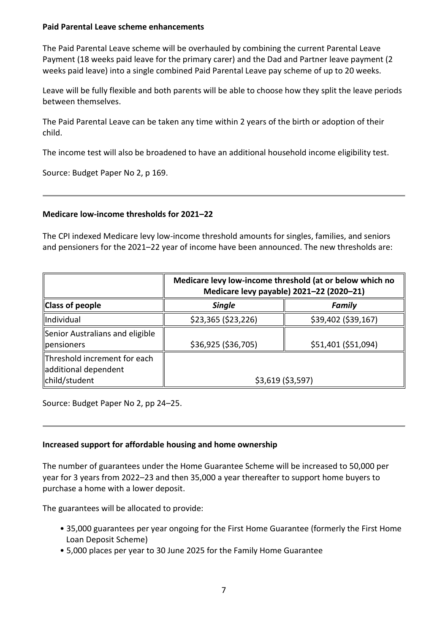#### <span id="page-7-0"></span>**Paid Parental Leave scheme enhancements**

The Paid Parental Leave scheme will be overhauled by combining the current Parental Leave Payment (18 weeks paid leave for the primary carer) and the Dad and Partner leave payment (2 weeks paid leave) into a single combined Paid Parental Leave pay scheme of up to 20 weeks.

Leave will be fully flexible and both parents will be able to choose how they split the leave periods between themselves.

The Paid Parental Leave can be taken any time within 2 years of the birth or adoption of their child.

The income test will also be broadened to have an additional household income eligibility test.

Source: Budget Paper No 2, p 169.

### <span id="page-7-1"></span>**Medicare low-income thresholds for 2021–22**

The CPI indexed Medicare levy low-income threshold amounts for singles, families, and seniors and pensioners for the 2021–22 year of income have been announced. The new thresholds are:

|                                                                       | Medicare levy low-income threshold (at or below which no<br>Medicare levy payable) 2021-22 (2020-21) |                     |  |
|-----------------------------------------------------------------------|------------------------------------------------------------------------------------------------------|---------------------|--|
| <b>Class of people</b>                                                | <b>Single</b>                                                                                        | <b>Family</b>       |  |
| <b>Individual</b>                                                     | \$23,365 (\$23,226)                                                                                  | \$39,402 (\$39,167) |  |
| Senior Australians and eligible<br><b>pensioners</b>                  | \$36,925 (\$36,705)                                                                                  | \$51,401 (\$51,094) |  |
| Threshold increment for each<br>additional dependent<br>child/student | $$3,619$ (\$3,597)                                                                                   |                     |  |

Source: Budget Paper No 2, pp 24–25.

#### <span id="page-7-2"></span>**Increased support for affordable housing and home ownership**

The number of guarantees under the Home Guarantee Scheme will be increased to 50,000 per year for 3 years from 2022–23 and then 35,000 a year thereafter to support home buyers to purchase a home with a lower deposit.

The guarantees will be allocated to provide:

- 35,000 guarantees per year ongoing for the First Home Guarantee (formerly the First Home Loan Deposit Scheme)
- 5,000 places per year to 30 June 2025 for the Family Home Guarantee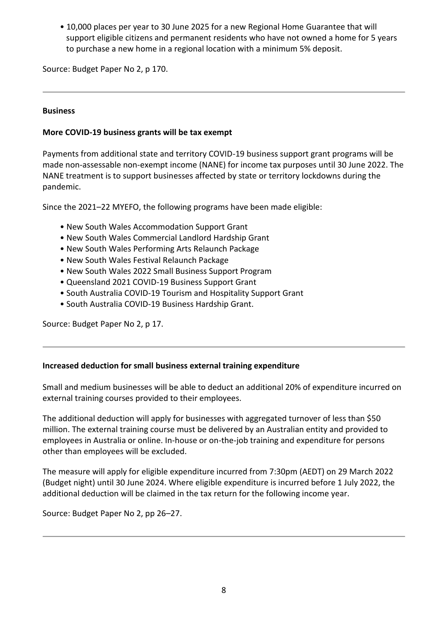• 10,000 places per year to 30 June 2025 for a new Regional Home Guarantee that will support eligible citizens and permanent residents who have not owned a home for 5 years to purchase a new home in a regional location with a minimum 5% deposit.

Source: Budget Paper No 2, p 170.

### <span id="page-8-0"></span>**Business**

## <span id="page-8-1"></span>**More COVID-19 business grants will be tax exempt**

Payments from additional state and territory COVID-19 business support grant programs will be made non-assessable non-exempt income (NANE) for income tax purposes until 30 June 2022. The NANE treatment is to support businesses affected by state or territory lockdowns during the pandemic.

Since the 2021–22 MYEFO, the following programs have been made eligible:

- New South Wales Accommodation Support Grant
- New South Wales Commercial Landlord Hardship Grant
- New South Wales Performing Arts Relaunch Package
- New South Wales Festival Relaunch Package
- New South Wales 2022 Small Business Support Program
- Queensland 2021 COVID-19 Business Support Grant
- South Australia COVID-19 Tourism and Hospitality Support Grant
- South Australia COVID-19 Business Hardship Grant.

Source: Budget Paper No 2, p 17.

#### <span id="page-8-2"></span>**Increased deduction for small business external training expenditure**

Small and medium businesses will be able to deduct an additional 20% of expenditure incurred on external training courses provided to their employees.

The additional deduction will apply for businesses with aggregated turnover of less than \$50 million. The external training course must be delivered by an Australian entity and provided to employees in Australia or online. In-house or on-the-job training and expenditure for persons other than employees will be excluded.

The measure will apply for eligible expenditure incurred from 7:30pm (AEDT) on 29 March 2022 (Budget night) until 30 June 2024. Where eligible expenditure is incurred before 1 July 2022, the additional deduction will be claimed in the tax return for the following income year.

<span id="page-8-3"></span>Source: Budget Paper No 2, pp 26–27.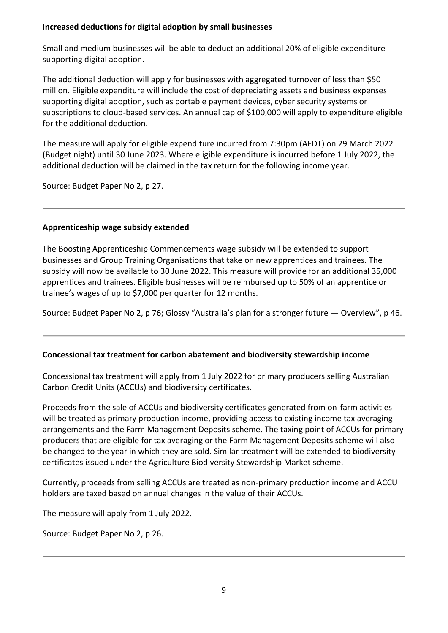#### **Increased deductions for digital adoption by small businesses**

Small and medium businesses will be able to deduct an additional 20% of eligible expenditure supporting digital adoption.

The additional deduction will apply for businesses with aggregated turnover of less than \$50 million. Eligible expenditure will include the cost of depreciating assets and business expenses supporting digital adoption, such as portable payment devices, cyber security systems or subscriptions to cloud-based services. An annual cap of \$100,000 will apply to expenditure eligible for the additional deduction.

The measure will apply for eligible expenditure incurred from 7:30pm (AEDT) on 29 March 2022 (Budget night) until 30 June 2023. Where eligible expenditure is incurred before 1 July 2022, the additional deduction will be claimed in the tax return for the following income year.

Source: Budget Paper No 2, p 27.

### <span id="page-9-0"></span>**Apprenticeship wage subsidy extended**

The Boosting Apprenticeship Commencements wage subsidy will be extended to support businesses and Group Training Organisations that take on new apprentices and trainees. The subsidy will now be available to 30 June 2022. This measure will provide for an additional 35,000 apprentices and trainees. Eligible businesses will be reimbursed up to 50% of an apprentice or trainee's wages of up to \$7,000 per quarter for 12 months.

Source: Budget Paper No 2, p 76; Glossy "Australia's plan for a stronger future — Overview", p 46.

## <span id="page-9-1"></span>**Concessional tax treatment for carbon abatement and biodiversity stewardship income**

Concessional tax treatment will apply from 1 July 2022 for primary producers selling Australian Carbon Credit Units (ACCUs) and biodiversity certificates.

Proceeds from the sale of ACCUs and biodiversity certificates generated from on-farm activities will be treated as primary production income, providing access to existing income tax averaging arrangements and the Farm Management Deposits scheme. The taxing point of ACCUs for primary producers that are eligible for tax averaging or the Farm Management Deposits scheme will also be changed to the year in which they are sold. Similar treatment will be extended to biodiversity certificates issued under the Agriculture Biodiversity Stewardship Market scheme.

Currently, proceeds from selling ACCUs are treated as non-primary production income and ACCU holders are taxed based on annual changes in the value of their ACCUs.

The measure will apply from 1 July 2022.

Source: Budget Paper No 2, p 26.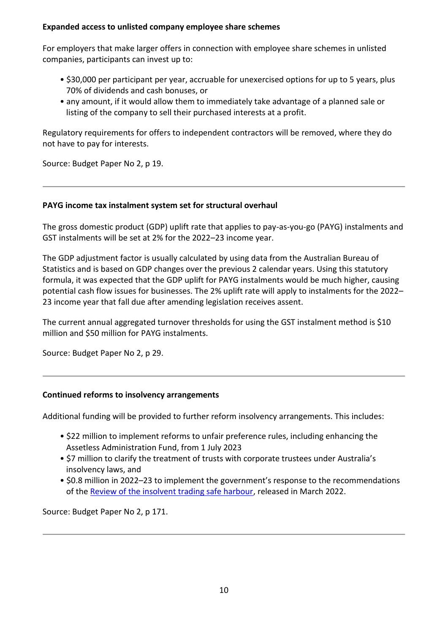#### <span id="page-10-0"></span>**Expanded access to unlisted company employee share schemes**

For employers that make larger offers in connection with employee share schemes in unlisted companies, participants can invest up to:

- \$30,000 per participant per year, accruable for unexercised options for up to 5 years, plus 70% of dividends and cash bonuses, or
- any amount, if it would allow them to immediately take advantage of a planned sale or listing of the company to sell their purchased interests at a profit.

Regulatory requirements for offers to independent contractors will be removed, where they do not have to pay for interests.

Source: Budget Paper No 2, p 19.

## <span id="page-10-1"></span>**PAYG income tax instalment system set for structural overhaul**

The gross domestic product (GDP) uplift rate that applies to pay-as-you-go (PAYG) instalments and GST instalments will be set at 2% for the 2022–23 income year.

The GDP adjustment factor is usually calculated by using data from the Australian Bureau of Statistics and is based on GDP changes over the previous 2 calendar years. Using this statutory formula, it was expected that the GDP uplift for PAYG instalments would be much higher, causing potential cash flow issues for businesses. The 2% uplift rate will apply to instalments for the 2022– 23 income year that fall due after amending legislation receives assent.

The current annual aggregated turnover thresholds for using the GST instalment method is \$10 million and \$50 million for PAYG instalments.

Source: Budget Paper No 2, p 29.

## <span id="page-10-2"></span>**Continued reforms to insolvency arrangements**

Additional funding will be provided to further reform insolvency arrangements. This includes:

- \$22 million to implement reforms to unfair preference rules, including enhancing the Assetless Administration Fund, from 1 July 2023
- \$7 million to clarify the treatment of trusts with corporate trustees under Australia's insolvency laws, and
- \$0.8 million in 2022–23 to implement the government's response to the recommendations of the [Review of the insolvent trading safe harbour,](https://treasury.gov.au/publication/p2022-p258663-govt-response) released in March 2022.

<span id="page-10-3"></span>Source: Budget Paper No 2, p 171.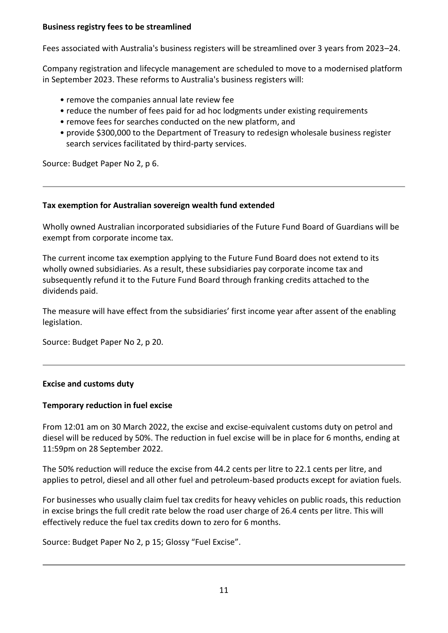#### **Business registry fees to be streamlined**

Fees associated with Australia's business registers will be streamlined over 3 years from 2023–24.

Company registration and lifecycle management are scheduled to move to a modernised platform in September 2023. These reforms to Australia's business registers will:

- remove the companies annual late review fee
- reduce the number of fees paid for ad hoc lodgments under existing requirements
- remove fees for searches conducted on the new platform, and
- provide \$300,000 to the Department of Treasury to redesign wholesale business register search services facilitated by third-party services.

Source: Budget Paper No 2, p 6.

### <span id="page-11-0"></span>**Tax exemption for Australian sovereign wealth fund extended**

Wholly owned Australian incorporated subsidiaries of the Future Fund Board of Guardians will be exempt from corporate income tax.

The current income tax exemption applying to the Future Fund Board does not extend to its wholly owned subsidiaries. As a result, these subsidiaries pay corporate income tax and subsequently refund it to the Future Fund Board through franking credits attached to the dividends paid.

The measure will have effect from the subsidiaries' first income year after assent of the enabling legislation.

Source: Budget Paper No 2, p 20.

## <span id="page-11-1"></span>**Excise and customs duty**

## <span id="page-11-2"></span>**Temporary reduction in fuel excise**

From 12:01 am on 30 March 2022, the excise and excise-equivalent customs duty on petrol and diesel will be reduced by 50%. The reduction in fuel excise will be in place for 6 months, ending at 11:59pm on 28 September 2022.

The 50% reduction will reduce the excise from 44.2 cents per litre to 22.1 cents per litre, and applies to petrol, diesel and all other fuel and petroleum-based products except for aviation fuels.

For businesses who usually claim fuel tax credits for heavy vehicles on public roads, this reduction in excise brings the full credit rate below the road user charge of 26.4 cents per litre. This will effectively reduce the fuel tax credits down to zero for 6 months.

Source: Budget Paper No 2, p 15; Glossy "Fuel Excise".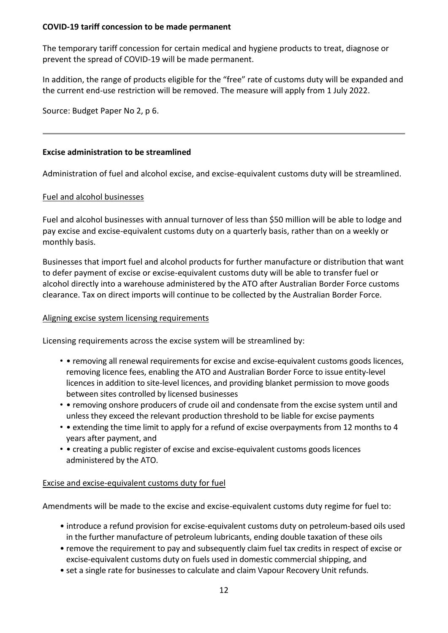#### <span id="page-12-0"></span>**COVID-19 tariff concession to be made permanent**

The temporary tariff concession for certain medical and hygiene products to treat, diagnose or prevent the spread of COVID-19 will be made permanent.

In addition, the range of products eligible for the "free" rate of customs duty will be expanded and the current end-use restriction will be removed. The measure will apply from 1 July 2022.

Source: Budget Paper No 2, p 6.

### <span id="page-12-1"></span>**Excise administration to be streamlined**

Administration of fuel and alcohol excise, and excise-equivalent customs duty will be streamlined.

### Fuel and alcohol businesses

Fuel and alcohol businesses with annual turnover of less than \$50 million will be able to lodge and pay excise and excise-equivalent customs duty on a quarterly basis, rather than on a weekly or monthly basis.

Businesses that import fuel and alcohol products for further manufacture or distribution that want to defer payment of excise or excise-equivalent customs duty will be able to transfer fuel or alcohol directly into a warehouse administered by the ATO after Australian Border Force customs clearance. Tax on direct imports will continue to be collected by the Australian Border Force.

#### Aligning excise system licensing requirements

Licensing requirements across the excise system will be streamlined by:

- • removing all renewal requirements for excise and excise-equivalent customs goods licences, removing licence fees, enabling the ATO and Australian Border Force to issue entity-level licences in addition to site-level licences, and providing blanket permission to move goods between sites controlled by licensed businesses
- • removing onshore producers of crude oil and condensate from the excise system until and unless they exceed the relevant production threshold to be liable for excise payments
- • extending the time limit to apply for a refund of excise overpayments from 12 months to 4 years after payment, and
- • creating a public register of excise and excise-equivalent customs goods licences administered by the ATO.

#### Excise and excise-equivalent customs duty for fuel

Amendments will be made to the excise and excise-equivalent customs duty regime for fuel to:

- introduce a refund provision for excise-equivalent customs duty on petroleum-based oils used in the further manufacture of petroleum lubricants, ending double taxation of these oils
- remove the requirement to pay and subsequently claim fuel tax credits in respect of excise or excise-equivalent customs duty on fuels used in domestic commercial shipping, and
- set a single rate for businesses to calculate and claim Vapour Recovery Unit refunds.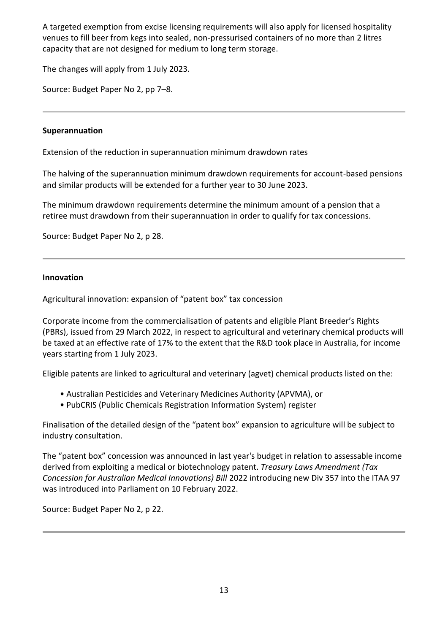A targeted exemption from excise licensing requirements will also apply for licensed hospitality venues to fill beer from kegs into sealed, non-pressurised containers of no more than 2 litres capacity that are not designed for medium to long term storage.

The changes will apply from 1 July 2023.

Source: Budget Paper No 2, pp 7–8.

## <span id="page-13-0"></span>**Superannuation**

<span id="page-13-1"></span>Extension of the reduction in superannuation minimum drawdown rates

The halving of the superannuation minimum drawdown requirements for account-based pensions and similar products will be extended for a further year to 30 June 2023.

The minimum drawdown requirements determine the minimum amount of a pension that a retiree must drawdown from their superannuation in order to qualify for tax concessions.

Source: Budget Paper No 2, p 28.

### <span id="page-13-2"></span>**Innovation**

<span id="page-13-3"></span>Agricultural innovation: expansion of "patent box" tax concession

Corporate income from the commercialisation of patents and eligible Plant Breeder's Rights (PBRs), issued from 29 March 2022, in respect to agricultural and veterinary chemical products will be taxed at an effective rate of 17% to the extent that the R&D took place in Australia, for income years starting from 1 July 2023.

Eligible patents are linked to agricultural and veterinary (agvet) chemical products listed on the:

- Australian Pesticides and Veterinary Medicines Authority (APVMA), or
- PubCRIS (Public Chemicals Registration Information System) register

Finalisation of the detailed design of the "patent box" expansion to agriculture will be subject to industry consultation.

The "patent box" concession was announced in last year's budget in relation to assessable income derived from exploiting a medical or biotechnology patent. *Treasury Laws Amendment (Tax Concession for Australian Medical Innovations) Bill* 2022 introducing new Div 357 into the ITAA 97 was introduced into Parliament on 10 February 2022.

<span id="page-13-4"></span>Source: Budget Paper No 2, p 22.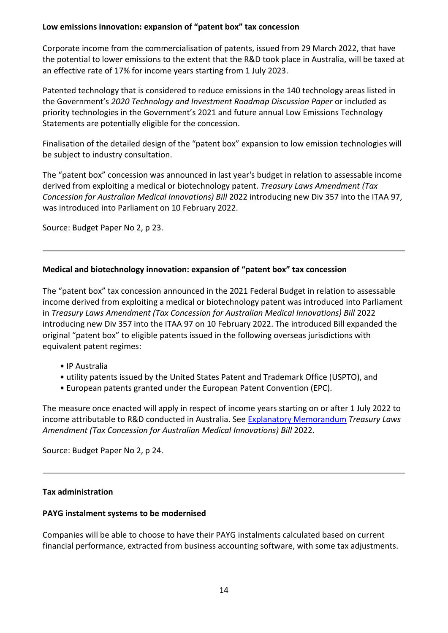## **Low emissions innovation: expansion of "patent box" tax concession**

Corporate income from the commercialisation of patents, issued from 29 March 2022, that have the potential to lower emissions to the extent that the R&D took place in Australia, will be taxed at an effective rate of 17% for income years starting from 1 July 2023.

Patented technology that is considered to reduce emissions in the 140 technology areas listed in the Government's *2020 Technology and Investment Roadmap Discussion Paper* or included as priority technologies in the Government's 2021 and future annual Low Emissions Technology Statements are potentially eligible for the concession.

Finalisation of the detailed design of the "patent box" expansion to low emission technologies will be subject to industry consultation.

The "patent box" concession was announced in last year's budget in relation to assessable income derived from exploiting a medical or biotechnology patent. *Treasury Laws Amendment (Tax Concession for Australian Medical Innovations) Bill* 2022 introducing new Div 357 into the ITAA 97, was introduced into Parliament on 10 February 2022.

Source: Budget Paper No 2, p 23.

## <span id="page-14-0"></span>**Medical and biotechnology innovation: expansion of "patent box" tax concession**

The "patent box" tax concession announced in the 2021 Federal Budget in relation to assessable income derived from exploiting a medical or biotechnology patent was introduced into Parliament in *Treasury Laws Amendment (Tax Concession for Australian Medical Innovations) Bill* 2022 introducing new Div 357 into the ITAA 97 on 10 February 2022. The introduced Bill expanded the original "patent box" to eligible patents issued in the following overseas jurisdictions with equivalent patent regimes:

- IP Australia
- utility patents issued by the United States Patent and Trademark Office (USPTO), and
- European patents granted under the European Patent Convention (EPC).

The measure once enacted will apply in respect of income years starting on or after 1 July 2022 to income attributable to R&D conducted in Australia. See [Explanatory Memorandum](https://www.aph.gov.au/Parliamentary_Business/Bills_Legislation/Bills_Search_Results/Result?bId=r6838) *Treasury Laws Amendment (Tax Concession for Australian Medical Innovations) Bill* 2022.

Source: Budget Paper No 2, p 24.

## <span id="page-14-1"></span>**Tax administration**

## <span id="page-14-2"></span>**PAYG instalment systems to be modernised**

Companies will be able to choose to have their PAYG instalments calculated based on current financial performance, extracted from business accounting software, with some tax adjustments.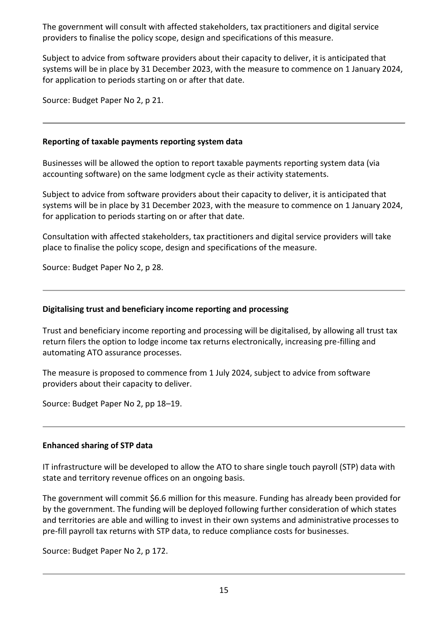The government will consult with affected stakeholders, tax practitioners and digital service providers to finalise the policy scope, design and specifications of this measure.

Subject to advice from software providers about their capacity to deliver, it is anticipated that systems will be in place by 31 December 2023, with the measure to commence on 1 January 2024, for application to periods starting on or after that date.

Source: Budget Paper No 2, p 21.

## <span id="page-15-0"></span>**Reporting of taxable payments reporting system data**

Businesses will be allowed the option to report taxable payments reporting system data (via accounting software) on the same lodgment cycle as their activity statements.

Subject to advice from software providers about their capacity to deliver, it is anticipated that systems will be in place by 31 December 2023, with the measure to commence on 1 January 2024, for application to periods starting on or after that date.

Consultation with affected stakeholders, tax practitioners and digital service providers will take place to finalise the policy scope, design and specifications of the measure.

Source: Budget Paper No 2, p 28.

### <span id="page-15-1"></span>**Digitalising trust and beneficiary income reporting and processing**

Trust and beneficiary income reporting and processing will be digitalised, by allowing all trust tax return filers the option to lodge income tax returns electronically, increasing pre-filling and automating ATO assurance processes.

The measure is proposed to commence from 1 July 2024, subject to advice from software providers about their capacity to deliver.

Source: Budget Paper No 2, pp 18–19.

#### <span id="page-15-2"></span>**Enhanced sharing of STP data**

IT infrastructure will be developed to allow the ATO to share single touch payroll (STP) data with state and territory revenue offices on an ongoing basis.

The government will commit \$6.6 million for this measure. Funding has already been provided for by the government. The funding will be deployed following further consideration of which states and territories are able and willing to invest in their own systems and administrative processes to pre-fill payroll tax returns with STP data, to reduce compliance costs for businesses.

Source: Budget Paper No 2, p 172.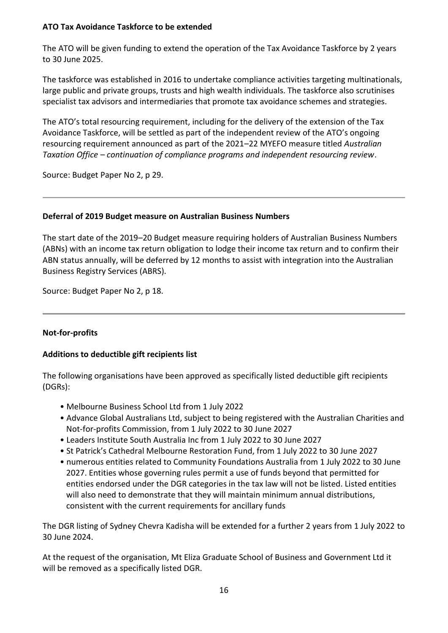## <span id="page-16-0"></span>**ATO Tax Avoidance Taskforce to be extended**

The ATO will be given funding to extend the operation of the Tax Avoidance Taskforce by 2 years to 30 June 2025.

The taskforce was established in 2016 to undertake compliance activities targeting multinationals, large public and private groups, trusts and high wealth individuals. The taskforce also scrutinises specialist tax advisors and intermediaries that promote tax avoidance schemes and strategies.

The ATO's total resourcing requirement, including for the delivery of the extension of the Tax Avoidance Taskforce, will be settled as part of the independent review of the ATO's ongoing resourcing requirement announced as part of the 2021–22 MYEFO measure titled *Australian Taxation Office – continuation of compliance programs and independent resourcing review*.

Source: Budget Paper No 2, p 29.

## <span id="page-16-1"></span>**Deferral of 2019 Budget measure on Australian Business Numbers**

The start date of the 2019–20 Budget measure requiring holders of Australian Business Numbers (ABNs) with an income tax return obligation to lodge their income tax return and to confirm their ABN status annually, will be deferred by 12 months to assist with integration into the Australian Business Registry Services (ABRS).

Source: Budget Paper No 2, p 18.

## <span id="page-16-2"></span>**Not-for-profits**

## <span id="page-16-3"></span>**Additions to deductible gift recipients list**

The following organisations have been approved as specifically listed deductible gift recipients (DGRs):

- Melbourne Business School Ltd from 1 July 2022
- Advance Global Australians Ltd, subject to being registered with the Australian Charities and Not-for-profits Commission, from 1 July 2022 to 30 June 2027
- Leaders Institute South Australia Inc from 1 July 2022 to 30 June 2027
- St Patrick's Cathedral Melbourne Restoration Fund, from 1 July 2022 to 30 June 2027
- numerous entities related to Community Foundations Australia from 1 July 2022 to 30 June 2027. Entities whose governing rules permit a use of funds beyond that permitted for entities endorsed under the DGR categories in the tax law will not be listed. Listed entities will also need to demonstrate that they will maintain minimum annual distributions, consistent with the current requirements for ancillary funds

The DGR listing of Sydney Chevra Kadisha will be extended for a further 2 years from 1 July 2022 to 30 June 2024.

At the request of the organisation, Mt Eliza Graduate School of Business and Government Ltd it will be removed as a specifically listed DGR.